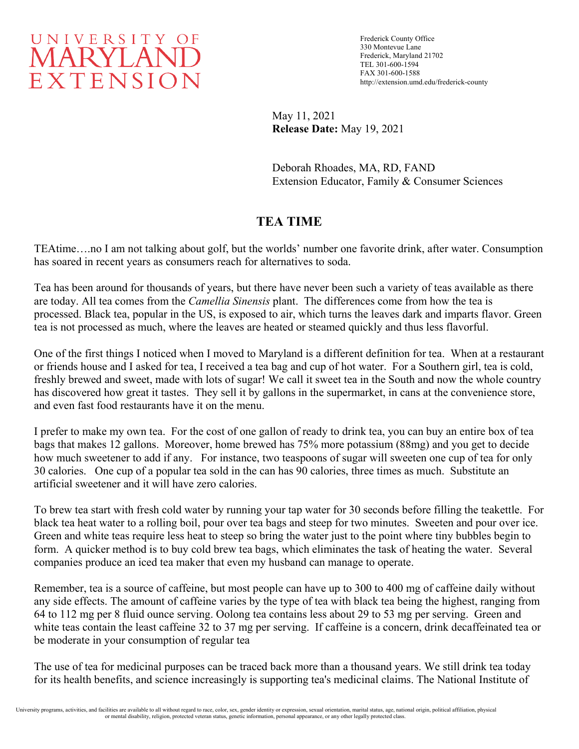

Frederick County Office 330 Montevue Lane Frederick, Maryland 21702 TEL 301-600-1594 FAX 301-600-1588 http://extension.umd.edu/frederick-county

May 11, 2021 **Release Date:** May 19, 2021

Deborah Rhoades, MA, RD, FAND Extension Educator, Family & Consumer Sciences

# **TEA TIME**

TEAtime….no I am not talking about golf, but the worlds' number one favorite drink, after water. Consumption has soared in recent years as consumers reach for alternatives to soda.

Tea has been around for thousands of years, but there have never been such a variety of teas available as there are today. All tea comes from the *Camellia Sinensis* plant. The differences come from how the tea is processed. Black tea, popular in the US, is exposed to air, which turns the leaves dark and imparts flavor. Green tea is not processed as much, where the leaves are heated or steamed quickly and thus less flavorful.

One of the first things I noticed when I moved to Maryland is a different definition for tea. When at a restaurant or friends house and I asked for tea, I received a tea bag and cup of hot water. For a Southern girl, tea is cold, freshly brewed and sweet, made with lots of sugar! We call it sweet tea in the South and now the whole country has discovered how great it tastes. They sell it by gallons in the supermarket, in cans at the convenience store, and even fast food restaurants have it on the menu.

I prefer to make my own tea. For the cost of one gallon of ready to drink tea, you can buy an entire box of tea bags that makes 12 gallons. Moreover, home brewed has 75% more potassium (88mg) and you get to decide how much sweetener to add if any. For instance, two teaspoons of sugar will sweeten one cup of tea for only 30 calories. One cup of a popular tea sold in the can has 90 calories, three times as much. Substitute an artificial sweetener and it will have zero calories.

To brew tea start with fresh cold water by running your tap water for 30 seconds before filling the teakettle. For black tea heat water to a rolling boil, pour over tea bags and steep for two minutes. Sweeten and pour over ice. Green and white teas require less heat to steep so bring the water just to the point where tiny bubbles begin to form. A quicker method is to buy cold brew tea bags, which eliminates the task of heating the water. Several companies produce an iced tea maker that even my husband can manage to operate.

Remember, tea is a source of caffeine, but most people can have up to 300 to 400 mg of caffeine daily without any side effects. The amount of caffeine varies by the type of tea with black tea being the highest, ranging from 64 to 112 mg per 8 fluid ounce serving. Oolong tea contains less about 29 to 53 mg per serving. Green and white teas contain the least caffeine 32 to 37 mg per serving. If caffeine is a concern, drink decaffeinated tea or be moderate in your consumption of regular tea

The use of tea for medicinal purposes can be traced back more than a thousand years. We still drink tea today for its health benefits, and science increasingly is supporting tea's medicinal claims. The National Institute of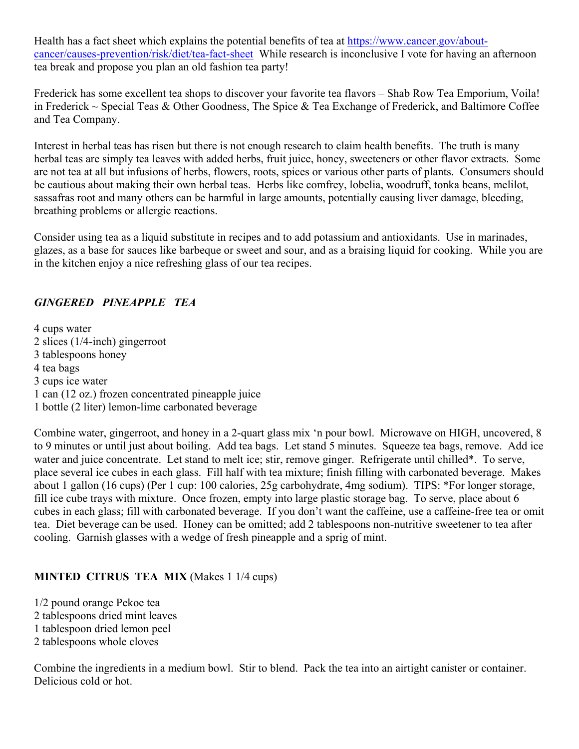Health has a fact sheet which explains the potential benefits of tea at [https://www.cancer.gov/about](https://www.cancer.gov/about-cancer/causes-prevention/risk/diet/tea-fact-sheet)[cancer/causes-prevention/risk/diet/tea-fact-sheet](https://www.cancer.gov/about-cancer/causes-prevention/risk/diet/tea-fact-sheet) While research is inconclusive I vote for having an afternoon tea break and propose you plan an old fashion tea party!

Frederick has some excellent tea shops to discover your favorite tea flavors – Shab Row Tea Emporium, Voila! in Frederick  $\sim$  Special Teas & Other Goodness, The Spice & Tea Exchange of Frederick, and Baltimore Coffee and Tea Company.

Interest in herbal teas has risen but there is not enough research to claim health benefits. The truth is many herbal teas are simply tea leaves with added herbs, fruit juice, honey, sweeteners or other flavor extracts. Some are not tea at all but infusions of herbs, flowers, roots, spices or various other parts of plants. Consumers should be cautious about making their own herbal teas. Herbs like comfrey, lobelia, woodruff, tonka beans, melilot, sassafras root and many others can be harmful in large amounts, potentially causing liver damage, bleeding, breathing problems or allergic reactions.

Consider using tea as a liquid substitute in recipes and to add potassium and antioxidants. Use in marinades, glazes, as a base for sauces like barbeque or sweet and sour, and as a braising liquid for cooking. While you are in the kitchen enjoy a nice refreshing glass of our tea recipes.

# *GINGERED PINEAPPLE TEA*

4 cups water 2 slices (1/4-inch) gingerroot 3 tablespoons honey 4 tea bags 3 cups ice water 1 can (12 oz.) frozen concentrated pineapple juice 1 bottle (2 liter) lemon-lime carbonated beverage

Combine water, gingerroot, and honey in a 2-quart glass mix 'n pour bowl. Microwave on HIGH, uncovered, 8 to 9 minutes or until just about boiling. Add tea bags. Let stand 5 minutes. Squeeze tea bags, remove. Add ice water and juice concentrate. Let stand to melt ice; stir, remove ginger. Refrigerate until chilled\*. To serve, place several ice cubes in each glass. Fill half with tea mixture; finish filling with carbonated beverage. Makes about 1 gallon (16 cups) (Per 1 cup: 100 calories, 25g carbohydrate, 4mg sodium). TIPS: \*For longer storage, fill ice cube trays with mixture. Once frozen, empty into large plastic storage bag. To serve, place about 6 cubes in each glass; fill with carbonated beverage. If you don't want the caffeine, use a caffeine-free tea or omit tea. Diet beverage can be used. Honey can be omitted; add 2 tablespoons non-nutritive sweetener to tea after cooling. Garnish glasses with a wedge of fresh pineapple and a sprig of mint.

#### **MINTED CITRUS TEA MIX** (Makes 1 1/4 cups)

1/2 pound orange Pekoe tea 2 tablespoons dried mint leaves 1 tablespoon dried lemon peel 2 tablespoons whole cloves

Combine the ingredients in a medium bowl. Stir to blend. Pack the tea into an airtight canister or container. Delicious cold or hot.